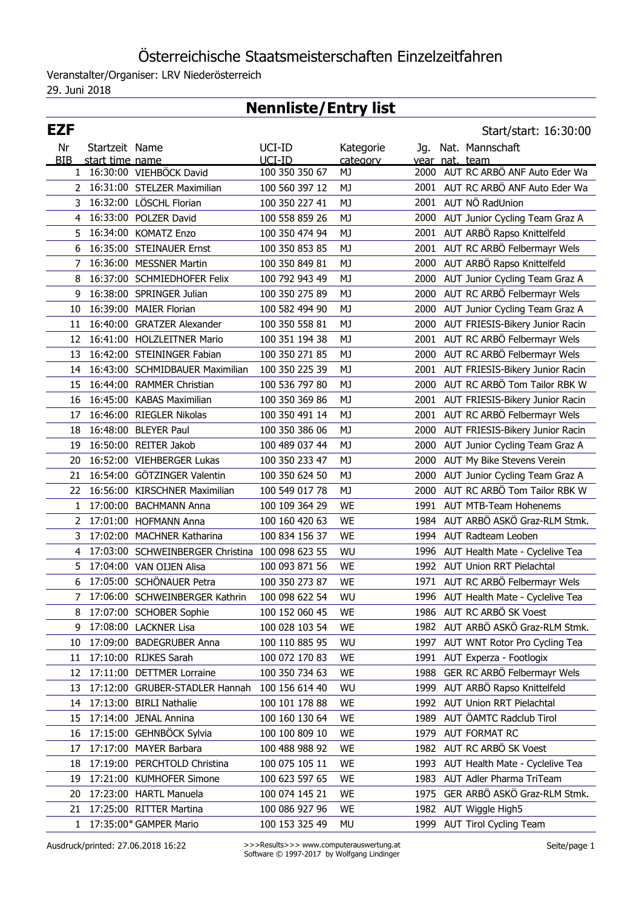## Österreichische Staatsmeisterschaften Einzelzeitfahren

Veranstalter/Organiser: LRV Niederösterreich

29. Juni 2018

## **Nennliste/Entry list**

| <b>EZF</b>   |                 |                                                 |                |           |      | Start/start: 16:30:00                |
|--------------|-----------------|-------------------------------------------------|----------------|-----------|------|--------------------------------------|
| Nr           | Startzeit Name  |                                                 | UCI-ID         | Kategorie | Jg.  | Nat. Mannschaft                      |
| <b>BIB</b>   | start time name |                                                 | UCI-ID         | category  |      | vear nat. team                       |
| $\mathbf{1}$ |                 | 16:30:00 VIEHBÖCK David                         | 100 350 350 67 | MJ        | 2000 | AUT RC ARBÖ ANF Auto Eder Wa         |
|              |                 | 2 16:31:00 STELZER Maximilian                   | 100 560 397 12 | MJ        |      | 2001 AUT RC ARBÖ ANF Auto Eder Wa    |
| 3            |                 | 16:32:00 LÖSCHL Florian                         | 100 350 227 41 | MJ        |      | 2001 AUT NÖ RadUnion                 |
| 4            |                 | 16:33:00 POLZER David                           | 100 558 859 26 | MJ        | 2000 | AUT Junior Cycling Team Graz A       |
| 5.           |                 | 16:34:00 KOMATZ Enzo                            | 100 350 474 94 | MJ        | 2001 | AUT ARBÖ Rapso Knittelfeld           |
| 6            |                 | 16:35:00 STEINAUER Ernst                        | 100 350 853 85 | MJ        |      | 2001 AUT RC ARBÖ Felbermayr Wels     |
| 7            |                 | 16:36:00 MESSNER Martin                         | 100 350 849 81 | MJ        | 2000 | AUT ARBÖ Rapso Knittelfeld           |
| 8            |                 | 16:37:00 SCHMIEDHOFER Felix                     | 100 792 943 49 | MJ        | 2000 | AUT Junior Cycling Team Graz A       |
| 9            |                 | 16:38:00 SPRINGER Julian                        | 100 350 275 89 | MJ        | 2000 | AUT RC ARBÖ Felbermayr Wels          |
| 10           |                 | 16:39:00 MAIER Florian                          | 100 582 494 90 | MJ        | 2000 | AUT Junior Cycling Team Graz A       |
| 11           |                 | 16:40:00 GRATZER Alexander                      | 100 350 558 81 | MJ        | 2000 | AUT FRIESIS-Bikery Junior Racin      |
| 12           |                 | 16:41:00 HOLZLEITNER Mario                      | 100 351 194 38 | MJ        | 2001 | AUT RC ARBÖ Felbermayr Wels          |
| 13           |                 | 16:42:00 STEININGER Fabian                      | 100 350 271 85 | MJ        | 2000 | AUT RC ARBÖ Felbermayr Wels          |
| 14           |                 | 16:43:00 SCHMIDBAUER Maximilian                 | 100 350 225 39 | MJ        |      | 2001 AUT FRIESIS-Bikery Junior Racin |
| 15           |                 | 16:44:00 RAMMER Christian                       | 100 536 797 80 | MJ        | 2000 | AUT RC ARBÖ Tom Tailor RBK W         |
| 16           |                 | 16:45:00 KABAS Maximilian                       | 100 350 369 86 | MJ        |      | 2001 AUT FRIESIS-Bikery Junior Racin |
| 17           |                 | 16:46:00 RIEGLER Nikolas                        | 100 350 491 14 | MJ        |      | 2001 AUT RC ARBÖ Felbermayr Wels     |
| 18           |                 | 16:48:00 BLEYER Paul                            | 100 350 386 06 | MJ        | 2000 | AUT FRIESIS-Bikery Junior Racin      |
| 19           |                 | 16:50:00 REITER Jakob                           | 100 489 037 44 | MJ        | 2000 | AUT Junior Cycling Team Graz A       |
| 20           |                 | 16:52:00 VIEHBERGER Lukas                       | 100 350 233 47 | MJ        | 2000 | AUT My Bike Stevens Verein           |
| 21           |                 | 16:54:00 GÖTZINGER Valentin                     | 100 350 624 50 | MJ        | 2000 | AUT Junior Cycling Team Graz A       |
| 22           |                 | 16:56:00 KIRSCHNER Maximilian                   | 100 549 017 78 | MJ        | 2000 | AUT RC ARBÖ Tom Tailor RBK W         |
| 1            |                 | 17:00:00 BACHMANN Anna                          | 100 109 364 29 | <b>WE</b> | 1991 | AUT MTB-Team Hohenems                |
|              |                 | 2 17:01:00 HOFMANN Anna                         | 100 160 420 63 | <b>WE</b> | 1984 | AUT ARBÖ ASKÖ Graz-RLM Stmk.         |
| 3            |                 | 17:02:00 MACHNER Katharina                      | 100 834 156 37 | <b>WE</b> |      | 1994 AUT Radteam Leoben              |
| 4            |                 | 17:03:00 SCHWEINBERGER Christina 100 098 623 55 |                | WU        | 1996 | AUT Health Mate - Cyclelive Tea      |
| 5            |                 | 17:04:00 VAN OIJEN Alisa                        | 100 093 871 56 | WE        | 1992 | AUT Union RRT Pielachtal             |
| 6            |                 | 17:05:00 SCHÖNAUER Petra                        | 100 350 273 87 | <b>WE</b> | 1971 | AUT RC ARBÖ Felbermayr Wels          |
|              |                 | 7 17:06:00 SCHWEINBERGER Kathrin                | 100 098 622 54 | WU        |      | 1996 AUT Health Mate - Cyclelive Tea |
| 8            |                 | 17:07:00 SCHOBER Sophie                         | 100 152 060 45 | <b>WE</b> |      | 1986 AUT RC ARBÖ SK Voest            |
| 9            |                 | 17:08:00 LACKNER Lisa                           | 100 028 103 54 | WE        | 1982 | AUT ARBÖ ASKÖ Graz-RLM Stmk.         |
| 10           |                 | 17:09:00 BADEGRUBER Anna                        | 100 110 885 95 | WU        | 1997 | AUT WNT Rotor Pro Cycling Tea        |
| 11           |                 | 17:10:00 RIJKES Sarah                           | 100 072 170 83 | WE        | 1991 | AUT Experza - Footlogix              |
| 12           |                 | 17:11:00 DETTMER Lorraine                       | 100 350 734 63 | WE        | 1988 | GER RC ARBÖ Felbermayr Wels          |
| 13           |                 | 17:12:00 GRUBER-STADLER Hannah                  | 100 156 614 40 | WU        | 1999 | AUT ARBÖ Rapso Knittelfeld           |
| 14           |                 | 17:13:00 BIRLI Nathalie                         | 100 101 178 88 | WE        | 1992 | AUT Union RRT Pielachtal             |
| 15           |                 | 17:14:00 JENAL Annina                           | 100 160 130 64 | WE        | 1989 | AUT ÖAMTC Radclub Tirol              |
| 16           |                 | 17:15:00 GEHNBÖCK Sylvia                        | 100 100 809 10 | WE        | 1979 | AUT FORMAT RC                        |
| 17           |                 | 17:17:00 MAYER Barbara                          | 100 488 988 92 | WE        | 1982 | AUT RC ARBÖ SK Voest                 |
| 18           |                 | 17:19:00 PERCHTOLD Christina                    | 100 075 105 11 | WE        | 1993 | AUT Health Mate - Cyclelive Tea      |
| 19           |                 | 17:21:00 KUMHOFER Simone                        | 100 623 597 65 | WE        | 1983 | AUT Adler Pharma TriTeam             |
| 20           |                 | 17:23:00 HARTL Manuela                          | 100 074 145 21 | WE        | 1975 | GER ARBÖ ASKÖ Graz-RLM Stmk.         |
| 21           |                 | 17:25:00 RITTER Martina                         | 100 086 927 96 | WE        | 1982 | AUT Wiggle High5                     |
| 1            |                 | 17:35:00* GAMPER Mario                          | 100 153 325 49 | MU        | 1999 | <b>AUT Tirol Cycling Team</b>        |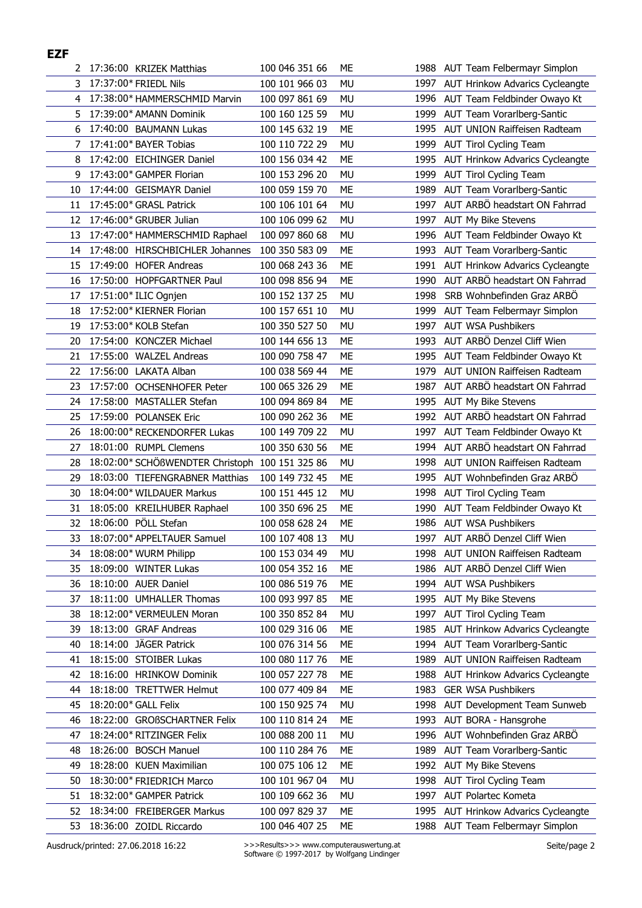|    | 2 17:36:00 KRIZEK Matthias                      | 100 046 351 66 | МE        |      | 1988 AUT Team Felbermayr Simplon       |
|----|-------------------------------------------------|----------------|-----------|------|----------------------------------------|
|    | 3 17:37:00* FRIEDL Nils                         | 100 101 966 03 | MU        | 1997 | AUT Hrinkow Advarics Cycleangte        |
| 4  | 17:38:00* HAMMERSCHMID Marvin                   | 100 097 861 69 | <b>MU</b> |      | 1996 AUT Team Feldbinder Owayo Kt      |
| 5. | 17:39:00* AMANN Dominik                         | 100 160 125 59 | <b>MU</b> | 1999 | AUT Team Vorarlberg-Santic             |
| 6  | 17:40:00 BAUMANN Lukas                          | 100 145 632 19 | ME        | 1995 | AUT UNION Raiffeisen Radteam           |
| 7  | 17:41:00* BAYER Tobias                          | 100 110 722 29 | MU        | 1999 | AUT Tirol Cycling Team                 |
| 8  | 17:42:00 EICHINGER Daniel                       | 100 156 034 42 | МE        | 1995 | AUT Hrinkow Advarics Cycleangte        |
| 9  | 17:43:00* GAMPER Florian                        | 100 153 296 20 | MU        | 1999 | <b>AUT Tirol Cycling Team</b>          |
| 10 | 17:44:00 GEISMAYR Daniel                        | 100 059 159 70 | <b>ME</b> | 1989 | AUT Team Vorarlberg-Santic             |
| 11 | 17:45:00* GRASL Patrick                         | 100 106 101 64 | MU        | 1997 | AUT ARBÖ headstart ON Fahrrad          |
| 12 | 17:46:00* GRUBER Julian                         | 100 106 099 62 | MU        | 1997 | <b>AUT My Bike Stevens</b>             |
| 13 | 17:47:00* HAMMERSCHMID Raphael                  | 100 097 860 68 | <b>MU</b> | 1996 | AUT Team Feldbinder Owayo Kt           |
| 14 | 17:48:00 HIRSCHBICHLER Johannes                 | 100 350 583 09 | ME        | 1993 | AUT Team Vorarlberg-Santic             |
| 15 | 17:49:00 HOFER Andreas                          | 100 068 243 36 | ME        | 1991 | AUT Hrinkow Advarics Cycleangte        |
| 16 | 17:50:00 HOPFGARTNER Paul                       | 100 098 856 94 | МE        | 1990 | AUT ARBÖ headstart ON Fahrrad          |
| 17 | 17:51:00* ILIC Ognjen                           | 100 152 137 25 | MU        | 1998 | SRB Wohnbefinden Graz ARBÖ             |
| 18 | 17:52:00* KIERNER Florian                       | 100 157 651 10 | MU        | 1999 | AUT Team Felbermayr Simplon            |
| 19 | 17:53:00* KOLB Stefan                           | 100 350 527 50 | MU        | 1997 | <b>AUT WSA Pushbikers</b>              |
| 20 | 17:54:00 KONCZER Michael                        | 100 144 656 13 | ME        | 1993 | AUT ARBÖ Denzel Cliff Wien             |
| 21 | 17:55:00 WALZEL Andreas                         | 100 090 758 47 | ME        | 1995 | AUT Team Feldbinder Owayo Kt           |
| 22 | 17:56:00 LAKATA Alban                           | 100 038 569 44 | ME        | 1979 | AUT UNION Raiffeisen Radteam           |
| 23 | 17:57:00 OCHSENHOFER Peter                      | 100 065 326 29 | ME        | 1987 | AUT ARBÖ headstart ON Fahrrad          |
| 24 | 17:58:00 MASTALLER Stefan                       | 100 094 869 84 | ME        | 1995 | AUT My Bike Stevens                    |
| 25 | 17:59:00 POLANSEK Eric                          | 100 090 262 36 | ME        |      | 1992 AUT ARBÖ headstart ON Fahrrad     |
| 26 | 18:00:00* RECKENDORFER Lukas                    | 100 149 709 22 | MU        | 1997 | AUT Team Feldbinder Owayo Kt           |
| 27 | 18:01:00 RUMPL Clemens                          | 100 350 630 56 | ME        | 1994 | AUT ARBÖ headstart ON Fahrrad          |
| 28 | 18:02:00* SCHÖßWENDTER Christoph 100 151 325 86 |                | <b>MU</b> | 1998 | AUT UNION Raiffeisen Radteam           |
| 29 | 18:03:00 TIEFENGRABNER Matthias                 | 100 149 732 45 | <b>ME</b> | 1995 | AUT Wohnbefinden Graz ARBÖ             |
| 30 | 18:04:00* WILDAUER Markus                       | 100 151 445 12 | MU        | 1998 | <b>AUT Tirol Cycling Team</b>          |
| 31 | 18:05:00 KREILHUBER Raphael                     | 100 350 696 25 | <b>ME</b> | 1990 | AUT Team Feldbinder Owayo Kt           |
| 32 | 18:06:00 PÖLL Stefan                            | 100 058 628 24 | <b>ME</b> | 1986 | <b>AUT WSA Pushbikers</b>              |
| 33 | 18:07:00* APPELTAUER Samuel                     | 100 107 408 13 | <b>MU</b> |      | 1997 AUT ARBÖ Denzel Cliff Wien        |
| 34 | 18:08:00* WURM Philipp                          | 100 153 034 49 | MU        |      | 1998 AUT UNION Raiffeisen Radteam      |
| 35 | 18:09:00 WINTER Lukas                           | 100 054 352 16 | МE        | 1986 | AUT ARBÖ Denzel Cliff Wien             |
| 36 | 18:10:00 AUER Daniel                            | 100 086 519 76 | ME        | 1994 | <b>AUT WSA Pushbikers</b>              |
| 37 | 18:11:00 UMHALLER Thomas                        | 100 093 997 85 | ME        | 1995 | AUT My Bike Stevens                    |
| 38 | 18:12:00* VERMEULEN Moran                       | 100 350 852 84 | MU        | 1997 | <b>AUT Tirol Cycling Team</b>          |
| 39 | 18:13:00 GRAF Andreas                           | 100 029 316 06 | МE        | 1985 | <b>AUT Hrinkow Advarics Cycleangte</b> |
| 40 | 18:14:00 JÄGER Patrick                          | 100 076 314 56 | ME        | 1994 | AUT Team Vorarlberg-Santic             |
| 41 | 18:15:00 STOIBER Lukas                          | 100 080 117 76 | МE        | 1989 | AUT UNION Raiffeisen Radteam           |
| 42 | 18:16:00 HRINKOW Dominik                        | 100 057 227 78 | МE        | 1988 | AUT Hrinkow Advarics Cycleangte        |
| 44 | 18:18:00 TRETTWER Helmut                        | 100 077 409 84 | МE        | 1983 | <b>GER WSA Pushbikers</b>              |
| 45 | 18:20:00* GALL Felix                            | 100 150 925 74 | MU        | 1998 | AUT Development Team Sunweb            |
| 46 | 18:22:00 GROBSCHARTNER Felix                    | 100 110 814 24 | МE        | 1993 | AUT BORA - Hansgrohe                   |
| 47 | 18:24:00* RITZINGER Felix                       | 100 088 200 11 | <b>MU</b> | 1996 | AUT Wohnbefinden Graz ARBÖ             |
| 48 | 18:26:00 BOSCH Manuel                           | 100 110 284 76 | МE        | 1989 | AUT Team Vorarlberg-Santic             |
| 49 | 18:28:00 KUEN Maximilian                        | 100 075 106 12 | ME        | 1992 | AUT My Bike Stevens                    |
| 50 | 18:30:00* FRIEDRICH Marco                       | 100 101 967 04 | MU        | 1998 | AUT Tirol Cycling Team                 |
| 51 | 18:32:00* GAMPER Patrick                        | 100 109 662 36 | MU        | 1997 | AUT Polartec Kometa                    |
| 52 | 18:34:00 FREIBERGER Markus                      | 100 097 829 37 | ME        | 1995 | <b>AUT Hrinkow Advarics Cycleangte</b> |
| 53 | 18:36:00 ZOIDL Riccardo                         | 100 046 407 25 | ME        |      | 1988 AUT Team Felbermayr Simplon       |

**EZF**

>>>Results>>> www.computerauswertung.at Seite/page 2 Software © 1997-2017 by Wolfgang Lindinger